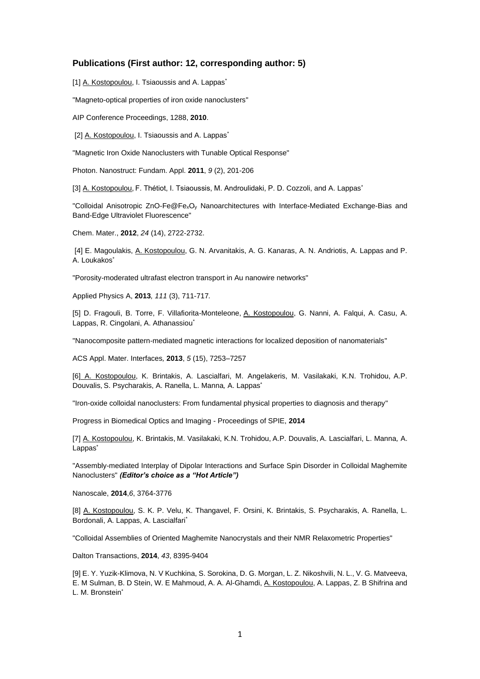## **Publications (First author: 12, corresponding author: 5)**

[1] A. Kostopoulou, I. Tsiaoussis and A. Lappas<sup>\*</sup>

["Magneto-optical properties of iron oxide nanoclusters"](https://www.scopus.com/record/display.uri?eid=2-s2.0-78651100113&origin=resultslist&sort=plf-f&src=s&sid=4F500CE715F861B4E88A929126ABC649.mw4ft95QGjz1tIFG9A1uw%3a720&sot=autdocs&sdt=autdocs&sl=18&s=AU-ID%2836188335000%29&relpos=15&citeCnt=0&searchTerm=)

[AIP Conference Proceedings,](https://www.scopus.com/source/sourceInfo.uri?sourceId=26916&origin=resultslist) 1288, **2010**.

[2] A. Kostopoulou, I. Tsiaoussis and A. Lappas<sup>\*</sup>

"Magnetic Iron Oxide Nanoclusters with Tunable Optical Response"

Photon. Nanostruct: Fundam. Appl. **2011**, *9* (2), 201-206

[3] A. Kostopoulou, F. Thétiot, I. Tsiaoussis, M. Androulidaki, P. D. Cozzoli, and A. Lappas\*

"Colloidal Anisotropic ZnO-Fe@FexO<sup>y</sup> Nanoarchitectures with Interface-Mediated Exchange-Bias and Band-Edge Ultraviolet Fluorescence"

Chem. Mater., **2012**, *24* (14), 2722-2732.

[4] E. Magoulakis, A. Kostopoulou, G. N. Arvanitakis, A. G. Kanaras, A. N. Andriotis, A. Lappas and P. A. Loukakos\*

"Porosity-moderated ultrafast electron transport in Au nanowire networks"

[Applied Physics A,](http://link.springer.com/journal/339) **2013***, 111* (3), 711-717*.* 

[5] D. Fragouli, B. Torre, F. Villafiorita-Monteleone, A. Kostopoulou, G. Nanni, A. Falqui, A. Casu, A. Lappas, R. Cingolani, A. Athanassiou<sup>\*</sup>

"Nanocomposite pattern-mediated magnetic interactions for localized deposition of nanomaterials"

ACS Appl. Mater. Interfaces*,* **2013**, *5* (15), 7253–7257

[6] A. Kostopoulou, K. Brintakis, A. Lascialfari, M. Angelakeris, M. Vasilakaki, K.N. Trohidou, A.P. Douvalis, S. Psycharakis, A. [Ranella,](https://www.scopus.com/authid/detail.uri?authorId=23010133500&eid=2-s2.0-84901610544) L. Manna*,* A. Lappas\*

["Iron-oxide colloidal nanoclusters: From fundamental physical properties to diagnosis and therapy"](https://www.scopus.com/record/display.uri?eid=2-s2.0-84901610544&origin=resultslist&sort=plf-f&src=s&sid=4F500CE715F861B4E88A929126ABC649.mw4ft95QGjz1tIFG9A1uw%3a100&sot=autdocs&sdt=autdocs&sl=18&s=AU-ID%2836188335000%29&relpos=9&citeCnt=1&searchTerm=)

Progress in Biomedical Optics and Imaging - Proceedings of SPIE, **2014**

[7] A. Kostopoulou, K. Brintakis, M. Vasilakaki, K.N. Trohidou, A.P. Douvalis, A. Lascialfari, L. Manna*,* A. Lappas<sup>\*</sup>

"Assembly-mediated Interplay of Dipolar Interactions and Surface Spin Disorder in Colloidal Maghemite Nanoclusters" *(Editor's choice as a "Hot Article")*

Nanoscale, **2014**,*6*, 3764-3776

[8] A. Kostopoulou, S. K. P. Velu, K. Thangavel, F. Orsini, K. Brintakis, S. Psycharakis, A. Ranella, L. Bordonali, A. Lappas, A. Lascialfari<sup>\*</sup>

"Colloidal Assemblies of Oriented Maghemite Nanocrystals and their NMR Relaxometric Properties"

Dalton Transactions, **2014**, *43*, 8395-9404

[9[\] E. Y. Yuzik-Klimova,](http://pubs.rsc.org/en/results?searchtext=Author%3AEkaterina%20Yu%20Yuzik-Klimova) [N. V Kuchkina,](http://pubs.rsc.org/en/results?searchtext=Author%3ANina%20V%20Kuchkina) [S. Sorokina,](http://pubs.rsc.org/en/results?searchtext=Author%3ASvetlana%20Sorokina) [D. G. Morgan,](http://pubs.rsc.org/en/results?searchtext=Author%3ADavid%20G%20Morgan) [L. Z. Nikoshvili,](http://pubs.rsc.org/en/results?searchtext=Author%3ALinda%20Zh%20Nikoshvili) [N. L.,](http://pubs.rsc.org/en/results?searchtext=Author%3ANadezhda%20Lyubimova) [V. G. Matveeva,](http://pubs.rsc.org/en/results?searchtext=Author%3AValentina%20G%20Matveeva) [E. M Sulman,](http://pubs.rsc.org/en/results?searchtext=Author%3AEsther%20M%20Sulman) [B. D Stein,](http://pubs.rsc.org/en/results?searchtext=Author%3ABarry%20D%20Stein) [W. E Mahmoud,](http://pubs.rsc.org/en/results?searchtext=Author%3AWaleed%20E%20Mahmoud) [A. A. Al-Ghamdi,](http://pubs.rsc.org/en/results?searchtext=Author%3AAhmed%20A%20Al-Ghamdi) [A. Kostopoulou,](http://pubs.rsc.org/en/results?searchtext=Author%3AAthanasia%20Kostopoulou) [A. Lappas,](http://pubs.rsc.org/en/results?searchtext=Author%3AAlexandros%20Lappas) [Z. B Shifrina](http://pubs.rsc.org/en/results?searchtext=Author%3AZinaida%20B%20Shifrina) and [L. M. Bronstein](http://pubs.rsc.org/en/results?searchtext=Author%3ALyudmila%20M%20Bronstein)<sup>\*</sup>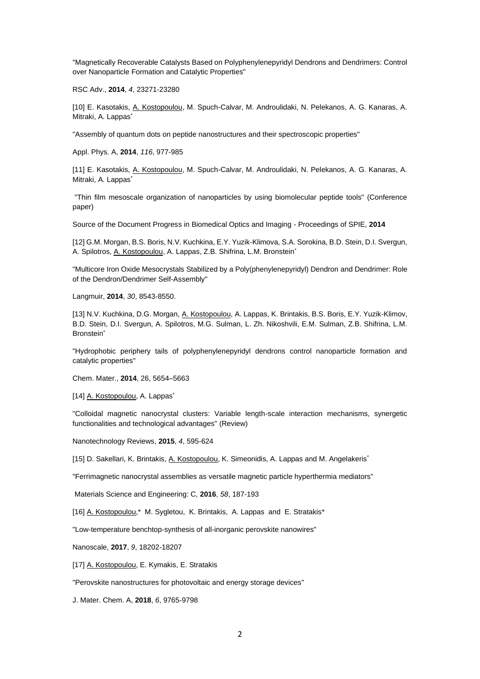"Magnetically Recoverable Catalysts Based on Polyphenylenepyridyl Dendrons and Dendrimers: Control over Nanoparticle Formation and Catalytic Properties"

RSC Adv., **2014**, *4*, 23271-23280

[10] E. Kasotakis, A. Kostopoulou, M. Spuch-Calvar, M. Androulidaki, N. Pelekanos, A. G. Kanaras, A. Mitraki, A. Lappas\*

"Assembly of quantum dots on peptide nanostructures and their spectroscopic properties"

Appl. Phys. A, **2014**, *116*, 977-985

[11] E. Kasotakis, A. Kostopoulou, M. Spuch-Calvar, M. Androulidaki, N. Pelekanos, A. G. Kanaras, A. Mitraki, A. Lappas<sup>\*</sup>

"Thin film mesoscale organization of nanoparticles by using biomolecular peptide tools" (Conference paper)

Source of the Document Progress in Biomedical Optics and Imaging - Proceedings of SPIE, **2014**

[12] G.M. Morgan, B.S. Boris, N.V. Kuchkina, E.Y. Yuzik-Klimova, S.A. Sorokina, B.D. Stein, D.I. Svergun, A. Spilotros, A. Kostopoulou, A. Lappas, Z.B. Shifrina, L.M. Bronstein\*

"Multicore Iron Oxide Mesocrystals Stabilized by a Poly(phenylenepyridyl) Dendron and Dendrimer: Role of the Dendron/Dendrimer Self-Assembly"

Langmuir, **2014**, *30*, 8543-8550.

[13] N.V. Kuchkina, D.G. Morgan, A. Kostopoulou, A. Lappas, K. Brintakis, B.S. Boris, E.Y. Yuzik-Klimov, B.D. Stein, D.I. Svergun, A. Spilotros, M.G. Sulman, L. Zh. Nikoshvili, E.M. Sulman, Z.B. Shifrina, L.M. Bronstein<sup>\*</sup>

"Hydrophobic periphery tails of polyphenylenepyridyl dendrons control nanoparticle formation and catalytic properties"

Chem. Mater., **2014**, 26, 5654–5663

[14] A. Kostopoulou, A. Lappas<sup>\*</sup>

"Colloidal magnetic nanocrystal clusters: Variable length-scale interaction mechanisms, synergetic functionalities and technological advantages" (Review)

[Nanotechnology Reviews,](https://www.scopus.com/source/sourceInfo.uri?sourceId=21100372101&origin=recordpage) **2015**, *4*, 595-624

[15] D. Sakellari, K. Brintakis, A. Kostopoulou, K. Simeonidis, A. Lappas and M. Angelakeris<sup>\*</sup>

"Ferrimagnetic nanocrystal assemblies as versatile magnetic particle hyperthermia mediators"

Materials Science and Engineering: C, **2016**, *58*, 187-193

[16] A. Kostopoulou,\* M. Sygletou, K. Brintakis, A. Lappas and E. Stratakis\*

"Low-temperature benchtop-synthesis of all-inorganic perovskite nanowires"

Nanoscale, **2017**, *9*, 18202-18207

[17] A. Kostopoulou, E. Kymakis, E. Stratakis

["Perovskite nanostructures for photovoltaic and energy storage devices"](http://pubs.rsc.org/en/content/articlehtml/2018/ta/c8ta01964a)

J. Mater. Chem. A, **2018**, *6*, 9765-9798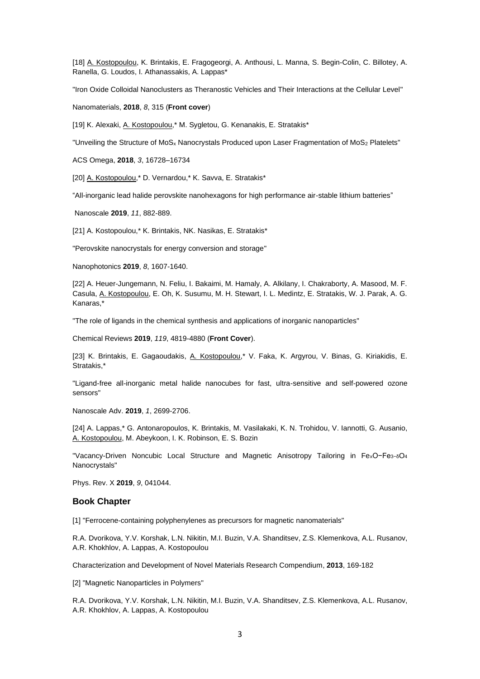[18] A. Kostopoulou, K. Brintakis, E. Fragogeorgi, A. Anthousi, L. Manna, S. Begin-Colin, C. Billotey, A. Ranella, G. Loudos, I. Athanassakis, A. Lappas\*

"Iron Oxide Colloidal Nanoclusters as Theranostic Vehicles and Their Interactions at the Cellular Level"

Nanomaterials, **2018**, *8*, 315 (**Front cover**)

[19] K. Alexaki, A. Kostopoulou,\* M. Sygletou, G. Kenanakis, E. Stratakis\*

"Unveiling the Structure of MoS<sub>x</sub> Nanocrystals Produced upon Laser Fragmentation of MoS<sub>2</sub> Platelets"

ACS Omega, **2018**, *3*, 16728–16734

[20] A. Kostopoulou,\* D. Vernardou,\* K. Savva, E. Stratakis\*

"All-inorganic lead halide perovskite nanohexagons for high performance air-stable lithium batteries"

Nanoscale **2019**, *11*, 882-889.

[21] A. Kostopoulou,\* K. Brintakis, NK. Nasikas, E. Stratakis\*

"Perovskite nanocrystals for energy conversion and storage"

Nanophotonics **2019**, *8*, 1607-1640.

[22] A. Heuer-Jungemann, N. Feliu, I. Bakaimi, M. Hamaly, A. Alkilany, I. Chakraborty, A. Masood, M. F. Casula, A. Kostopoulou, E. Oh, K. Susumu, M. H. Stewart, I. L. Medintz, E. Stratakis, W. J. Parak, A. G. Kanaras,\*

"The role of ligands in the chemical synthesis and applications of inorganic nanoparticles"

Chemical Reviews **2019**, *119*, 4819-4880 (**Front Cover**).

[23] K. Brintakis, E. Gagaoudakis, A. Kostopoulou,\* V. Faka, K. Argyrou, V. Binas, G. Kiriakidis, E. Stratakis,\*

"Ligand-free all-inorganic metal halide nanocubes for fast, ultra-sensitive and self-powered ozone sensors"

Nanoscale Adv. **2019**, *1*, 2699-2706.

[24] A. Lappas,\* G. Antonaropoulos, K. Brintakis, M. Vasilakaki, K. N. Trohidou, V. Iannotti, G. Ausanio, A. Kostopoulou, M. Abeykoon, I. K. Robinson, E. S. Bozin

"Vacancy-Driven Noncubic Local Structure and Magnetic Anisotropy Tailoring in FexO−Fe3−δO<sup>4</sup> Nanocrystals"

Phys. Rev. X **2019**, *9*, 041044.

## **Book Chapter**

[1] "Ferrocene-containing polyphenylenes as precursors for magnetic nanomaterials"

R.A. Dvorikova, Y.V[. Korshak,](https://www.scopus.com/authid/detail.uri?authorId=6602761514&eid=2-s2.0-84933042079) L.N[. Nikitin,](https://www.scopus.com/authid/detail.uri?authorId=7005541737&eid=2-s2.0-84933042079) M.I. Buzin, V.A[. Shanditsev, Z](https://www.scopus.com/authid/detail.uri?authorId=6507588732&eid=2-s2.0-84933042079).S. [Klemenkova, A](https://www.scopus.com/authid/detail.uri?authorId=6602307097&eid=2-s2.0-84933042079).L. [Rusanov,](https://www.scopus.com/authid/detail.uri?authorId=35451263800&eid=2-s2.0-84933042079) A.R. [Khokhlov,](https://www.scopus.com/authid/detail.uri?authorId=7201745735&eid=2-s2.0-84933042079) A. [Lappas, A](https://www.scopus.com/authid/detail.uri?authorId=55410872000&eid=2-s2.0-84933042079). Kostopoulou

[Characterization and Development of Novel Materials Research Compendium,](https://www.scopus.com/record/display.uri?eid=2-s2.0-84933050219&origin=recordpage) **2013**, 169-182

[2] "Magnetic Nanoparticles in Polymers"

R.A. Dvorikova, Y.V[. Korshak,](https://www.scopus.com/authid/detail.uri?authorId=6602761514&eid=2-s2.0-84933042079) L.N[. Nikitin,](https://www.scopus.com/authid/detail.uri?authorId=7005541737&eid=2-s2.0-84933042079) M.I. Buzin, V.A[. Shanditsev, Z](https://www.scopus.com/authid/detail.uri?authorId=6507588732&eid=2-s2.0-84933042079).S. [Klemenkova, A](https://www.scopus.com/authid/detail.uri?authorId=6602307097&eid=2-s2.0-84933042079).L. [Rusanov,](https://www.scopus.com/authid/detail.uri?authorId=35451263800&eid=2-s2.0-84933042079) A.R. [Khokhlov,](https://www.scopus.com/authid/detail.uri?authorId=7201745735&eid=2-s2.0-84933042079) A. [Lappas, A](https://www.scopus.com/authid/detail.uri?authorId=55410872000&eid=2-s2.0-84933042079). Kostopoulou